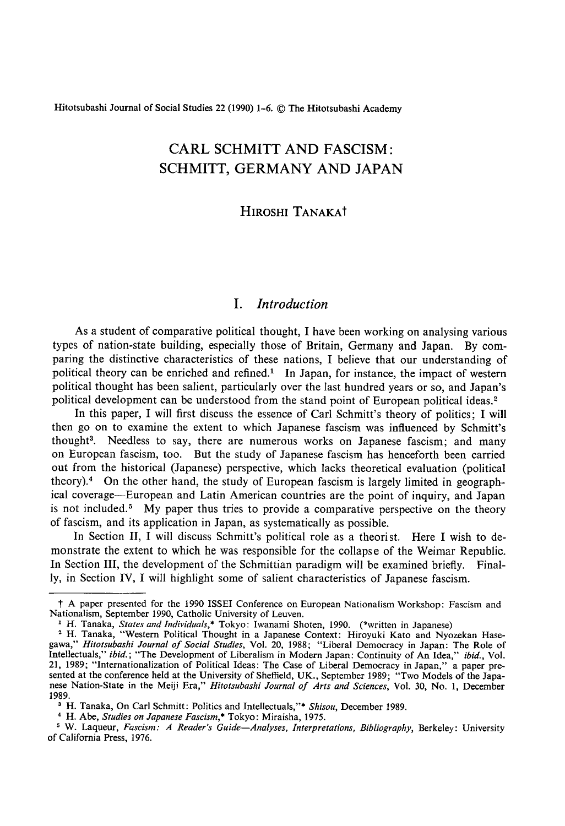Hitotsubashi Joumal of Social Studies 22 (1990) 1-6. C The Hitotsubashi Academy

# CARL SCHMITT AND FASCISM : SCHMITT, GERMANY AND JAPAN

### HIROSHI TANAKAt

### **I**. *Introduction*

As a student of comparative political thought, I have been working on analysing various types of nation-state building, especially those of Britain, Germany and Japan. By comparing the distinctive characteristics of these nations, I believe that our understanding of political theory can be enriched and refined.<sup>1</sup> In Japan, for instance, the impact of western political thought has been salient, particularly over the last hundred years or so, and Japan's political development can be understood from the stand point of European political ideas.2

In this paper, I will first discuss the essence of Carl Schmitt's theory of politics; I will then go on to examine the extent to which Japanese fascism was influenced by Schmitt's thought3. Needless to say, there are numerous works on Japanese fascism; and many on European fascism, too. But the study of Japanese fascism has henceforth been carried out from the historical (Japanese) perspective, which lacks theoretical evaluation (political theory).4 On the other hand, the study of European fascism is largely limited in geographical coverage-European and Latin American countries are the point of inquiry, and Japan is not included.<sup>5</sup> My paper thus tries to provide a comparative perspective on the theory of fascism, and its application in Japan, as systematically as possible.

In Section II, I will discuss Schmitt's political role as a theorist. Here I wish to demonstrate the extent to which he was responsible for the collapse of the Weimar Republic. In Section 111, the development of the Schmittian paradigm will be examined briefly. Finally, in Section IV, I will highlight some of salient characteristics of Japanese fascism.

t A paper presented for the 1990 ISSEI Conference on European Nationalism Workshop: Fascism and Nationalism, September 1990, Catholic University of Leuven.

<sup>&</sup>lt;sup>1</sup> H. Tanaka, *States and Individuals*,\* Tokyo: Iwanami Shoten, 1990. (\*written in Japanese)

<sup>&</sup>lt;sup>2</sup> H. Tanaka, "Western Political Thought in a Japanese Context: Hiroyuki Kato and Nyozekan Hasegawa," Hitotsubashi Journal of Socia/ Studies, Vol. 20, 1988; "Liberal Democracy in Japan: The Role of Intellectuals," ibid.; "The Development of Liberalism in Modern Japan: Continuity of An Idea," ibid., Vol. 21, 1989; "Internationalization of Political Ideas : The Case of Liberal Democracy in Japan," a paper presented at the conference held at the University of Sheffield, UK., September 1989; "Two Models of the Japanese Nation-State in the Meiji Era," Hitotsubashi Journal of Arts and Sciences, Vol. 30, No. 1, December 1989.

<sup>&</sup>lt;sup>3</sup> H. Tanaka, On Carl Schmitt: Politics and Intellectuals,"\* Shisou, December 1989.

<sup>4</sup> H. Abc, Studies on Japanese Fascism,\* Tokyo: Miraisha, 1975.

<sup>&</sup>lt;sup>5</sup> W. Laqueur, Fascism: A Reader's Guide-Analyses, Interpretations, Bibliography, Berkeley: University of California Press, 1976.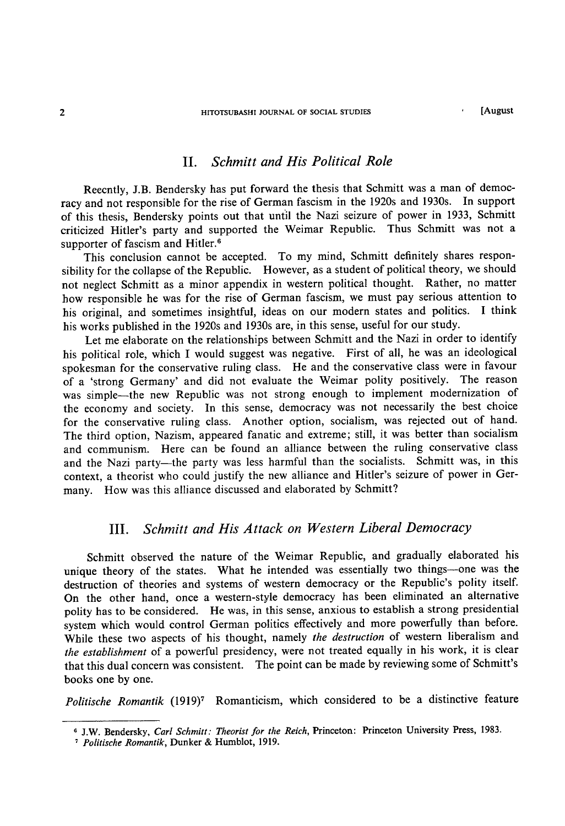### II. Schmitt and His Political Role

Reecntly, J.B. Bendersky has put forward the thesis that Schmitt was a man of democracy and not responsible for the rise of German fascism in the 1920s and 1930s. In support of this thesis, Bendersky points out that until the Nazi seizure of power in 1933, Schmitt criticized Hitler's party and supported the Weimar Republic. Thus Schmitt was not a supporter of fascism and Hitler.<sup>6</sup>

This conclusion cannot be accepted. To my mind, Schmitt definitely shares responsibility for the collapse of the Republic. However, as a student of political theory, we should not neglect Schmitt as a minor appendix in western political thought. Rather, no matter how responsible he was for the rise of German fascism, we must pay serious attention to his original, and sometimes insightful, ideas on our modern states and politics. I think his works published in the 1920s and 1930s are, in this sense, useful for our study.

Let me elaborate on the relationships between Schmitt and the Nazi in order to identify his political role, which I would suggest was negative. First of all, he was an ideological spokesman for the conservative ruling class. He and the conservative class were in favour of a 'strong Germany' and did not evaluate the Weimar polity positively. The reason was simple-the new Republic was not strong enough to implement modernization of the economy and society. In this sense, democracy was not necessarily the best choice for the conservative ruling class. Another option, socialism, was rejected out of hand. The third option, Nazism, appeared fanatic and extreme; still, it was better than socialism and communism. Here can be found an alliance between the ruling conservative class and the Nazi party-the party was less harmful than the socialists. Schmitt was, in this context, a theorist who could justify the new alliance and Hitler's seizure of power in Germany. How was this alliance discussed and elaborated by Schmitt?

### III. Schmitt and His Attack on Western Liberal Democracy

Schmitt observed the nature of the Weimar Republic, and gradually elaborated his unique theory of the states. What he intended was essentially two things-one was the destruction of theories and systems of western democracy or the Republic's polity itself. On the other hand, once a western-style democracy has been eliminated an alternative polity has to be considered. He was, in this sense, anxious to establish a strong presidential system which would control German politics effectively and more powerfully than before. While these two aspects of his thought, namely the destruction of western liberalism and the establishment of a powerful presidency, were not treated equally in his work, it is clear that this dual concern was consistent. The point can be made by reviewing some of Schmitt's books one by one.

Politische Romantik (1919)<sup>7</sup> Romanticism, which considered to be a distinctive feature

<sup>&</sup>lt;sup>6</sup> J.W. Bendersky, Carl Schmitt: Theorist for the Reich, Princeton: Princeton University Press, 1983.

<sup>&#</sup>x27; Politische Romantik, Dunker & Humblot, 1919.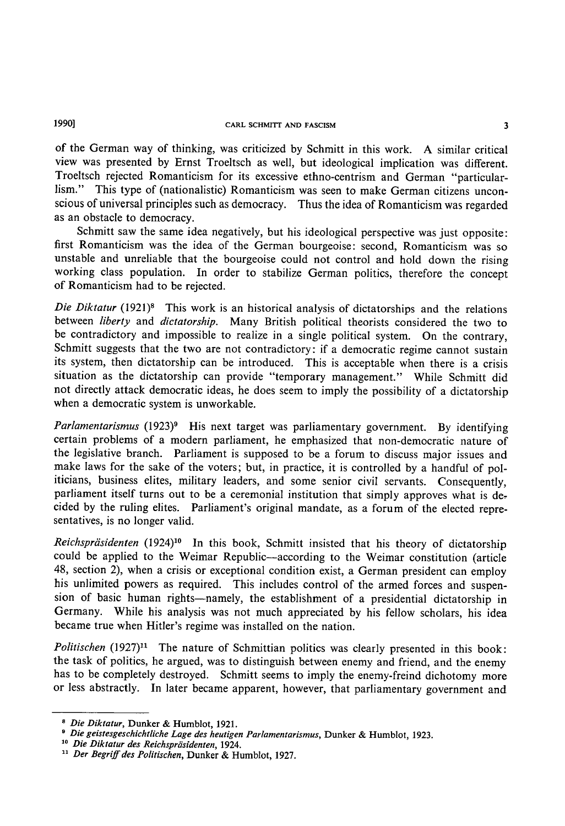# 1990] CARL SCHMITT AND FASCISM 3

of the German way of thinking, was criticized by Schmitt in this work. A similar critical view was presented by Ernst Troeltsch as well, but ideological implication was different. Troeltsch rejected Romanticism for its excessive ethno-centrism and German "particularlism." This type of (nationalistic) Romanticism was seen to make German citizens unconscious of universal principles such as democracy. Thus the idea of Romanticism was regarded as an obstacle to democracy.

Schmitt saw the same idea negatively, but his ideological perspective was just opposite: first Romanticism was the idea of the German bourgeoise: second, Romanticism was so unstable and unreliable that the bourgeoise could not control and hold down the rising working class population. In order to stabilize German politics, therefore the concept of Romanticism had to be rejected.

Die Diktatur (1921)<sup>8</sup> This work is an historical analysis of dictatorships and the relations between liberty and dictatorship. Many British political theorists considered the two to be contradictory and impossible to realize in a single political system. On the contrary, Schmitt suggests that the two are not contradictory; if a democratic regime cannot sustain its system, then dictatorship can be introduced. This is acceptable when there is a crisis situation as the dictatorship can provide "temporary management." While Schmitt did not directly attack democratic ideas, he does seem to imply the possibility of a dictatorship when a democratic system is unworkable.

Parlamentarismus  $(1923)^9$  His next target was parliamentary government. By identifying certain problems of a modern parliament, he emphasized that non-democratic nature of the legislative branch. Parliament is supposed to be a forum to discuss major issues and make laws for the sake of the voters; but, in practice, it is controlled by a handful of politicians, business elites, military leaders, and some senior civil servants. Consequently, parliament itself turns out to be a ceremonial institution that simply approves what is de. cided by the ruling elites. Parliament's original mandate, as a forum of the elected representatives, is no longer valid.

Reichspräsidenten (1924)<sup>10</sup> In this book, Schmitt insisted that his theory of dictatorship could be applied to the Weimar Republic-according to the Weimar constitution (article 48, section 2), when a crisis or exceptional condition exist, a German president can employ his unlimited powers as required. This includes control of the armed forces and suspension of basic human rights-namely, the establishment of a presidential dictatorship in Germany. While his analysis was not much appreciated by his fellow scholars, his idea became true when Hitler's regime was installed on the nation.

Politischen  $(1927)^{11}$  The nature of Schmittian politics was clearly presented in this book: the task of politics, he argued, was to distinguish between enemy and friend, and the enemy has to be completely destroyed. Schmitt seems to imply the enemy-freind dichotomy more or less abstractly. In later became apparent, however, that parliamentary government and

<sup>8</sup> Die Diktatur, Dunker & Humblot, 1921.

<sup>&</sup>quot; Die geistesgeschichtliche Lage des heutigen Parlamentarismus, Dunker & Humblot, 1923.

<sup>&</sup>lt;sup>10</sup> Die Diktatur des Reichspräsidenten, 1924.

<sup>&</sup>lt;sup>11</sup> Der Begriff des Politischen, Dunker & Humblot, 1927.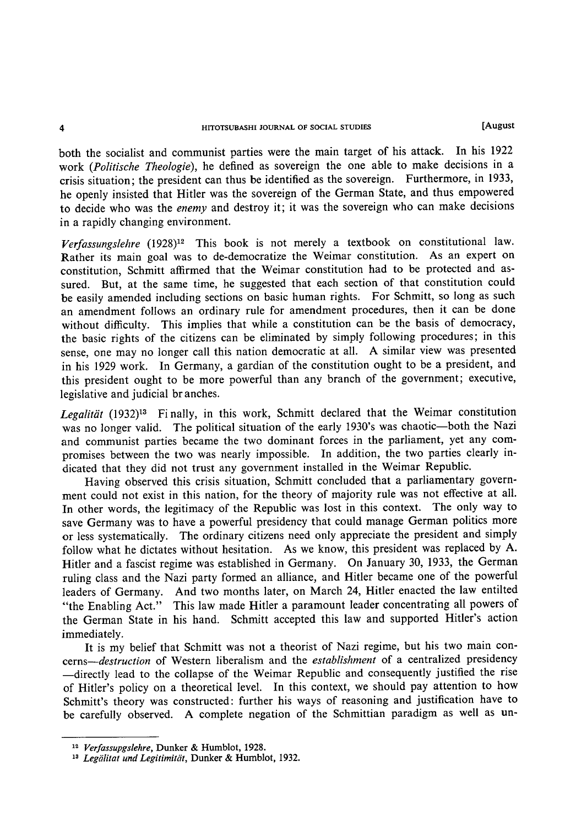#### 4 HrroTSUBASHI JOURNAL OF SOCIAL STUDIES [August

both the socialist and communist parties were the main target of his attack. In his 1922 work (Politische Theologie), he defined as sovereign the one able to make decisions in a crisis situation; the president can thus be identified as the sovereign. Furthermore, in 1933, he openly insisted that Hitler was the sovereign of the German State, and thus empowered to decide who was the enemy and destroy it; it was the sovereign who can make decisions in a rapidly changing environment.

Verfassungslehre (1928)<sup>12</sup> This book is not merely a textbook on constitutional law. Rather its main goal was to de-democratize the Weimar constitution. As an expert on constitution, Schmitt affirmed that the Weimar constitution had to be protected and assured. But, at the same time, he suggested that each section of that constitution could be easily amended including sections on basic human rights. For Schmitt, so long as such an amendment follows an ordinary rule for amendment procedures, then it can be done without difficulty. This implies that while a constitution can be the basis of democracy, the basic rights of the citizens can be eliminated by simply following procedures ; in this sense, one may no longer call this nation democratic at all. A similar view was presented in his 1929 work. In Germany, a gardian of the constitution ought to be a president, and this president ought to be more powerful than any branch of the government; executive, legislative and judicial br anches.

Legalität  $(1932)^{13}$  Finally, in this work, Schmitt declared that the Weimar constitution was no longer valid. The political situation of the early 1930's was chaotic-both the Nazi and communist parties became the two dominant forces in the parliament, yet any compromises between the two was nearly imposslble. In addition, the two parties clearly indicated that they did not trust any government installed in the Weimar Republic.

Having observed this crisis situation. Schmitt concluded that a parliamentary government could not exist in this nation, for the theory of majority rule was not effective at all. In other words, the legitimacy of the Republic was lost in this context. The only way to save Germany was to have a powerful presidency that could manage German politics more or less systematically. The ordinary citizens need only appreciate the president and simply follow what he dictates without hesitation. As we know, this president was replaced by A. Hitler and a fascist regime was established in Germany. On January 30, 1933, the German ruling class and the Nazi party formed an alliance, and Hitler became one of the powerful leaders of Germany. And two months later, on March 24, Hitler enacted the law entilted "the Enabling Act." This law made Hitler a paramount leader concentrating all powers of the German State in his hand. Schmitt accepted this law and supported Hitler's action immediately.

It is my belief that Schmitt was not a theorist of Nazi regime, but his two main concerns-destruction of Western liberalism and the establishment of a centralized presidency -directly lead to the collapse of the Weimar Republic and consequently justified the rise of Hitler's policy on a theoretical level. In this context, we should pay attention to how Schmitt's theory was constructed: further his ways of reasoning and justification have to be carefully observed. A complete negation of the Schmittian paradigm as well as un-

<sup>&</sup>lt;sup>12</sup> Verfassupgslehre, Dunker & Humblot, 1928.

<sup>&</sup>lt;sup>13</sup> Legälitat und Legitimität, Dunker & Humblot, 1932.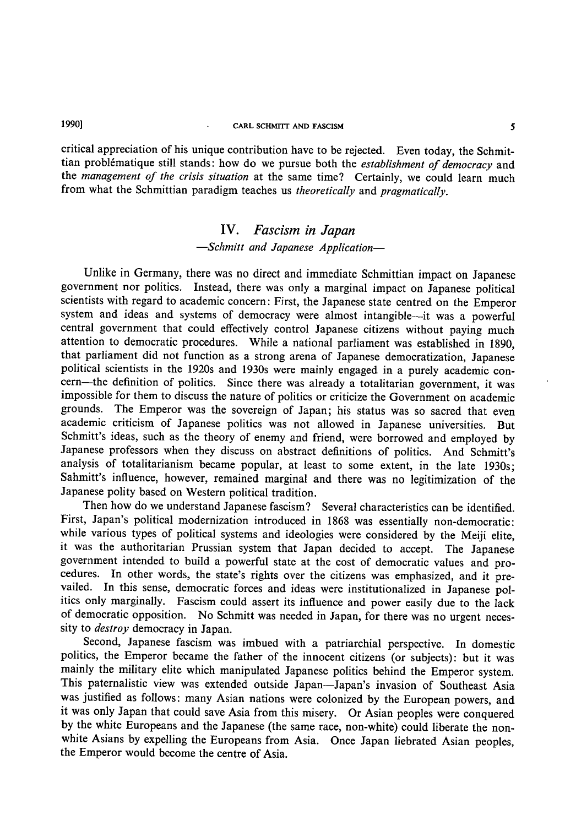### l 990] CARL SCHMrrT AND FASCISM

critical appreciation of his unique contribution have to be rejected. Even today, the Schmittian problématique still stands: how do we pursue both the establishment of democracy and the management of the crisis situation at the same time? Certainly, we could learn much from what the Schmittian paradigm teaches us theoretically and pragmatically.

## IV. Fascism in Japan -Schmitt and Japanese Application-

Unlike in Germany, there was no direct and immediate Schmittian impact on Japanese government nor politics. Instead, there was only a marginal impact on Japanese political scientists with regard to academic concern : First, the Japanese state centred on the Emperor system and ideas and systems of democracy were almost intangible-it was a powerful central government that could effectively control Japanese citizens without paying much attention to democratic procedures. While a national parliament was established in 1890, that parliament did not function as a strong arena of Japanese democratization, Japanese political scientists in the 1920s and 1930s were mainly engaged in a purely academic concern-the definition of politics. Since there was already a totalitarian government, it was impossible for them to discuss the nature of politics or criticize the Government on academic grounds. The Emperor was the sovereign of Japan; his status was so sacred that even academic criticism of Japanese politics was not allowed in Japanese universities. But Schmitt's ideas, such as the theory of enemy and friend, were borrowed and employed by Japanese professors when they discuss on abstract definitions of politics. And Schmitt's analysis of totalitarianism became popular, at least to some extent, in the late 1930s; Sahmitt's influence, however, remained marginal and there was no legitimization of the Japanese polity based on Western political tradition.

Then how do we understand Japanese fascism? Several characteristics can be identified. First, Japan's political modernization introduced in 1868 was essentially non-democratic: while various types of political systems and ideologies were considered by the Meiji elite, it was the authoritarian Prussian system that Japan decided to accept. The Japanese government intended to build a powerful state at the cost of democratic values and procedures. In other words, the state's rights over the citizens was emphasized, and it prevailed. In this sense, democratic forces and ideas were institutionalized in Japanese politics only marginally. Fascism could assert its influence and power easily due to the lack of democratic opposition. No Schmitt was needed in Japan, for there was no urgent necessity to *destroy* democracy in Japan.

Second, Japanese fascism was imbued with a patriarchial perspective. In domestic politics, the Emperor became the father of the innocent citizens (or subjects): but it was mainly the military elite which manipulated Japanese politics behind the Emperor system. This paternalistic view was extended outside Japan-Japan's invasion of Southeast Asia was justified as follows: many Asian nations were colonized by the European powers, and it was only Japan that could save Asia from this misery. Or Asian peoples were conquered by the white Europeans and the Japanese (the same race, non-white) could liberate the nonwhite Asians by expelling the Europeans from Asia. Once Japan liebrated Asian peoples, the Emperor would become the centre of Asia.